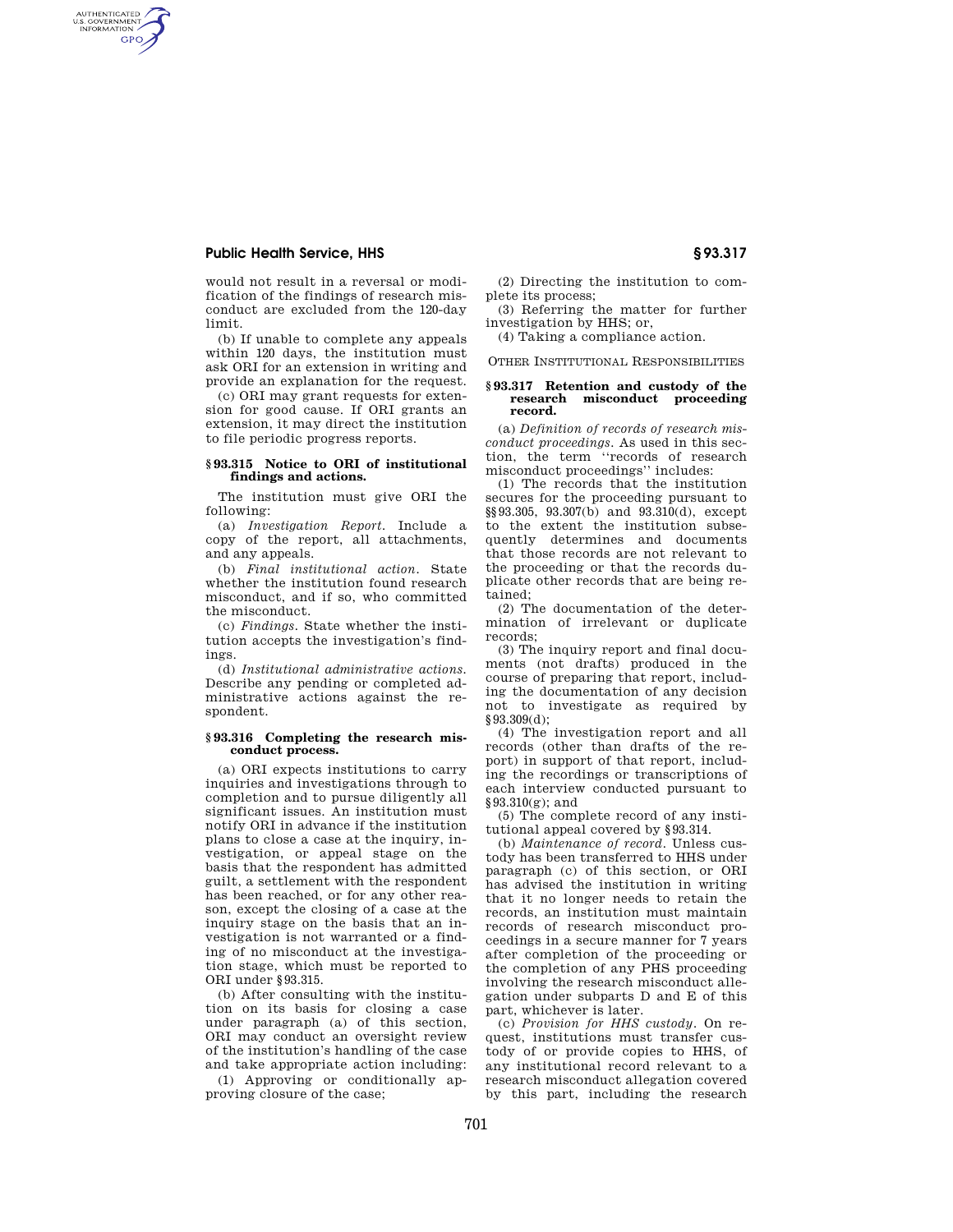# **Public Health Service, HHS § 93.317**

AUTHENTICATED<br>U.S. GOVERNMENT<br>INFORMATION **GPO** 

> would not result in a reversal or modification of the findings of research misconduct are excluded from the 120-day limit.

> (b) If unable to complete any appeals within 120 days, the institution must ask ORI for an extension in writing and provide an explanation for the request.

> (c) ORI may grant requests for extension for good cause. If ORI grants an extension, it may direct the institution to file periodic progress reports.

### **§ 93.315 Notice to ORI of institutional findings and actions.**

The institution must give ORI the following:

(a) *Investigation Report.* Include a copy of the report, all attachments, and any appeals.

(b) *Final institutional action.* State whether the institution found research misconduct, and if so, who committed the misconduct.

(c) *Findings.* State whether the institution accepts the investigation's findings.

(d) *Institutional administrative actions.*  Describe any pending or completed administrative actions against the respondent.

#### **§ 93.316 Completing the research misconduct process.**

(a) ORI expects institutions to carry inquiries and investigations through to completion and to pursue diligently all significant issues. An institution must notify ORI in advance if the institution plans to close a case at the inquiry, investigation, or appeal stage on the basis that the respondent has admitted guilt, a settlement with the respondent has been reached, or for any other reason, except the closing of a case at the inquiry stage on the basis that an investigation is not warranted or a finding of no misconduct at the investigation stage, which must be reported to ORI under §93.315.

(b) After consulting with the institution on its basis for closing a case under paragraph (a) of this section, ORI may conduct an oversight review of the institution's handling of the case and take appropriate action including:

(1) Approving or conditionally approving closure of the case;

(2) Directing the institution to complete its process;

(3) Referring the matter for further investigation by HHS; or,

(4) Taking a compliance action.

OTHER INSTITUTIONAL RESPONSIBILITIES

#### **§ 93.317 Retention and custody of the research misconduct proceeding record.**

(a) *Definition of records of research misconduct proceedings.* As used in this section, the term ''records of research misconduct proceedings'' includes:

(1) The records that the institution secures for the proceeding pursuant to §§93.305, 93.307(b) and 93.310(d), except to the extent the institution subsequently determines and documents that those records are not relevant to the proceeding or that the records duplicate other records that are being retained;

(2) The documentation of the determination of irrelevant or duplicate records;

(3) The inquiry report and final documents (not drafts) produced in the course of preparing that report, including the documentation of any decision not to investigate as required by §93.309(d);

(4) The investigation report and all records (other than drafts of the report) in support of that report, including the recordings or transcriptions of each interview conducted pursuant to §93.310(g); and

(5) The complete record of any institutional appeal covered by §93.314.

(b) *Maintenance of record.* Unless custody has been transferred to HHS under paragraph (c) of this section, or ORI has advised the institution in writing that it no longer needs to retain the records, an institution must maintain records of research misconduct proceedings in a secure manner for 7 years after completion of the proceeding or the completion of any PHS proceeding involving the research misconduct allegation under subparts D and E of this part, whichever is later.

(c) *Provision for HHS custody.* On request, institutions must transfer custody of or provide copies to HHS, of any institutional record relevant to a research misconduct allegation covered by this part, including the research